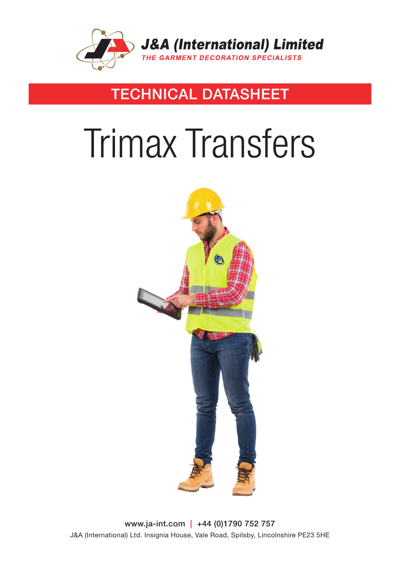

### TECHNICAL DATASHEET

# Trimax Transfers



www.ja-int.com | +44 (0)1790 752 757 J&A (International) Ltd. Insignia House, Vale Road, Spilsby, Lincolnshire PE23 5HE